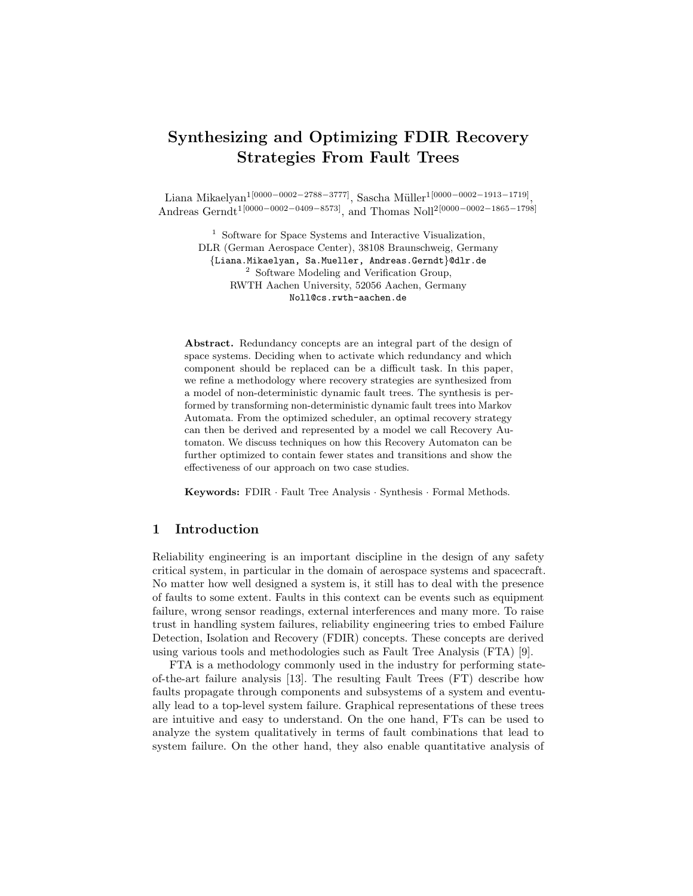# Synthesizing and Optimizing FDIR Recovery Strategies From Fault Trees

Liana Mikaelyan<sup>1[0000–0002–2788–3777]</sup>, Sascha Müller<sup>1[0000–0002–1913–1719]</sup>, Andreas Gerndt<sup>1</sup>[0000−0002−0409−8573], and Thomas Noll<sup>2</sup>[0000−0002−1865−1798]

> <sup>1</sup> Software for Space Systems and Interactive Visualization, DLR (German Aerospace Center), 38108 Braunschweig, Germany {Liana.Mikaelyan, Sa.Mueller, Andreas.Gerndt}@dlr.de <sup>2</sup> Software Modeling and Verification Group, RWTH Aachen University, 52056 Aachen, Germany Noll@cs.rwth-aachen.de

Abstract. Redundancy concepts are an integral part of the design of space systems. Deciding when to activate which redundancy and which component should be replaced can be a difficult task. In this paper, we refine a methodology where recovery strategies are synthesized from a model of non-deterministic dynamic fault trees. The synthesis is performed by transforming non-deterministic dynamic fault trees into Markov Automata. From the optimized scheduler, an optimal recovery strategy can then be derived and represented by a model we call Recovery Automaton. We discuss techniques on how this Recovery Automaton can be further optimized to contain fewer states and transitions and show the effectiveness of our approach on two case studies.

Keywords: FDIR · Fault Tree Analysis · Synthesis · Formal Methods.

# 1 Introduction

Reliability engineering is an important discipline in the design of any safety critical system, in particular in the domain of aerospace systems and spacecraft. No matter how well designed a system is, it still has to deal with the presence of faults to some extent. Faults in this context can be events such as equipment failure, wrong sensor readings, external interferences and many more. To raise trust in handling system failures, reliability engineering tries to embed Failure Detection, Isolation and Recovery (FDIR) concepts. These concepts are derived using various tools and methodologies such as Fault Tree Analysis (FTA) [9].

FTA is a methodology commonly used in the industry for performing stateof-the-art failure analysis [13]. The resulting Fault Trees (FT) describe how faults propagate through components and subsystems of a system and eventually lead to a top-level system failure. Graphical representations of these trees are intuitive and easy to understand. On the one hand, FTs can be used to analyze the system qualitatively in terms of fault combinations that lead to system failure. On the other hand, they also enable quantitative analysis of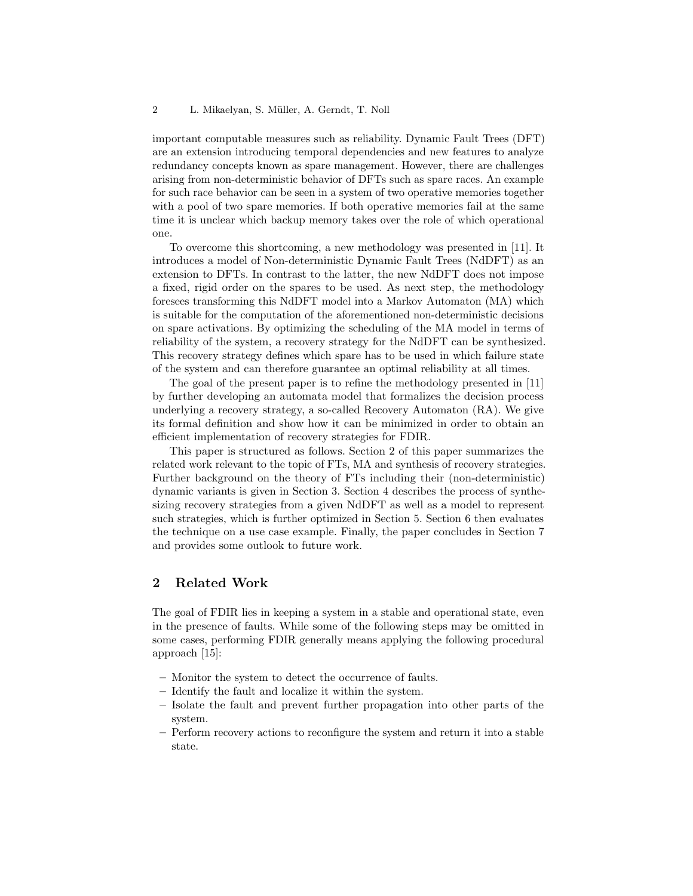important computable measures such as reliability. Dynamic Fault Trees (DFT) are an extension introducing temporal dependencies and new features to analyze redundancy concepts known as spare management. However, there are challenges arising from non-deterministic behavior of DFTs such as spare races. An example for such race behavior can be seen in a system of two operative memories together with a pool of two spare memories. If both operative memories fail at the same time it is unclear which backup memory takes over the role of which operational one.

To overcome this shortcoming, a new methodology was presented in [11]. It introduces a model of Non-deterministic Dynamic Fault Trees (NdDFT) as an extension to DFTs. In contrast to the latter, the new NdDFT does not impose a fixed, rigid order on the spares to be used. As next step, the methodology foresees transforming this NdDFT model into a Markov Automaton (MA) which is suitable for the computation of the aforementioned non-deterministic decisions on spare activations. By optimizing the scheduling of the MA model in terms of reliability of the system, a recovery strategy for the NdDFT can be synthesized. This recovery strategy defines which spare has to be used in which failure state of the system and can therefore guarantee an optimal reliability at all times.

The goal of the present paper is to refine the methodology presented in [11] by further developing an automata model that formalizes the decision process underlying a recovery strategy, a so-called Recovery Automaton (RA). We give its formal definition and show how it can be minimized in order to obtain an efficient implementation of recovery strategies for FDIR.

This paper is structured as follows. Section 2 of this paper summarizes the related work relevant to the topic of FTs, MA and synthesis of recovery strategies. Further background on the theory of FTs including their (non-deterministic) dynamic variants is given in Section 3. Section 4 describes the process of synthesizing recovery strategies from a given NdDFT as well as a model to represent such strategies, which is further optimized in Section 5. Section 6 then evaluates the technique on a use case example. Finally, the paper concludes in Section 7 and provides some outlook to future work.

### 2 Related Work

The goal of FDIR lies in keeping a system in a stable and operational state, even in the presence of faults. While some of the following steps may be omitted in some cases, performing FDIR generally means applying the following procedural approach [15]:

- Monitor the system to detect the occurrence of faults.
- Identify the fault and localize it within the system.
- Isolate the fault and prevent further propagation into other parts of the system.
- Perform recovery actions to reconfigure the system and return it into a stable state.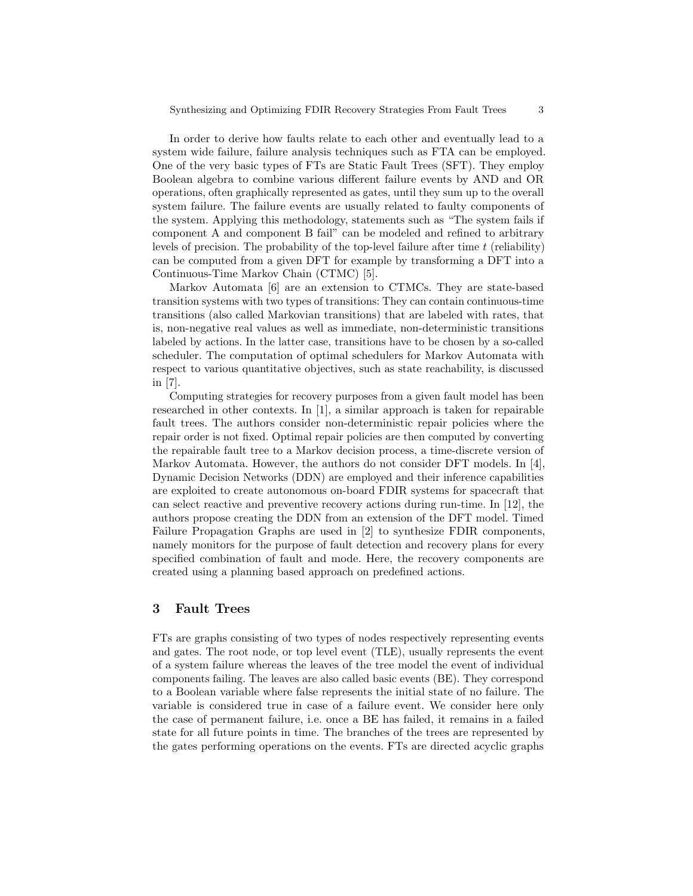In order to derive how faults relate to each other and eventually lead to a system wide failure, failure analysis techniques such as FTA can be employed. One of the very basic types of FTs are Static Fault Trees (SFT). They employ Boolean algebra to combine various different failure events by AND and OR operations, often graphically represented as gates, until they sum up to the overall system failure. The failure events are usually related to faulty components of the system. Applying this methodology, statements such as "The system fails if component A and component B fail" can be modeled and refined to arbitrary levels of precision. The probability of the top-level failure after time  $t$  (reliability) can be computed from a given DFT for example by transforming a DFT into a Continuous-Time Markov Chain (CTMC) [5].

Markov Automata [6] are an extension to CTMCs. They are state-based transition systems with two types of transitions: They can contain continuous-time transitions (also called Markovian transitions) that are labeled with rates, that is, non-negative real values as well as immediate, non-deterministic transitions labeled by actions. In the latter case, transitions have to be chosen by a so-called scheduler. The computation of optimal schedulers for Markov Automata with respect to various quantitative objectives, such as state reachability, is discussed in [7].

Computing strategies for recovery purposes from a given fault model has been researched in other contexts. In [1], a similar approach is taken for repairable fault trees. The authors consider non-deterministic repair policies where the repair order is not fixed. Optimal repair policies are then computed by converting the repairable fault tree to a Markov decision process, a time-discrete version of Markov Automata. However, the authors do not consider DFT models. In [4], Dynamic Decision Networks (DDN) are employed and their inference capabilities are exploited to create autonomous on-board FDIR systems for spacecraft that can select reactive and preventive recovery actions during run-time. In [12], the authors propose creating the DDN from an extension of the DFT model. Timed Failure Propagation Graphs are used in [2] to synthesize FDIR components, namely monitors for the purpose of fault detection and recovery plans for every specified combination of fault and mode. Here, the recovery components are created using a planning based approach on predefined actions.

### 3 Fault Trees

FTs are graphs consisting of two types of nodes respectively representing events and gates. The root node, or top level event (TLE), usually represents the event of a system failure whereas the leaves of the tree model the event of individual components failing. The leaves are also called basic events (BE). They correspond to a Boolean variable where false represents the initial state of no failure. The variable is considered true in case of a failure event. We consider here only the case of permanent failure, i.e. once a BE has failed, it remains in a failed state for all future points in time. The branches of the trees are represented by the gates performing operations on the events. FTs are directed acyclic graphs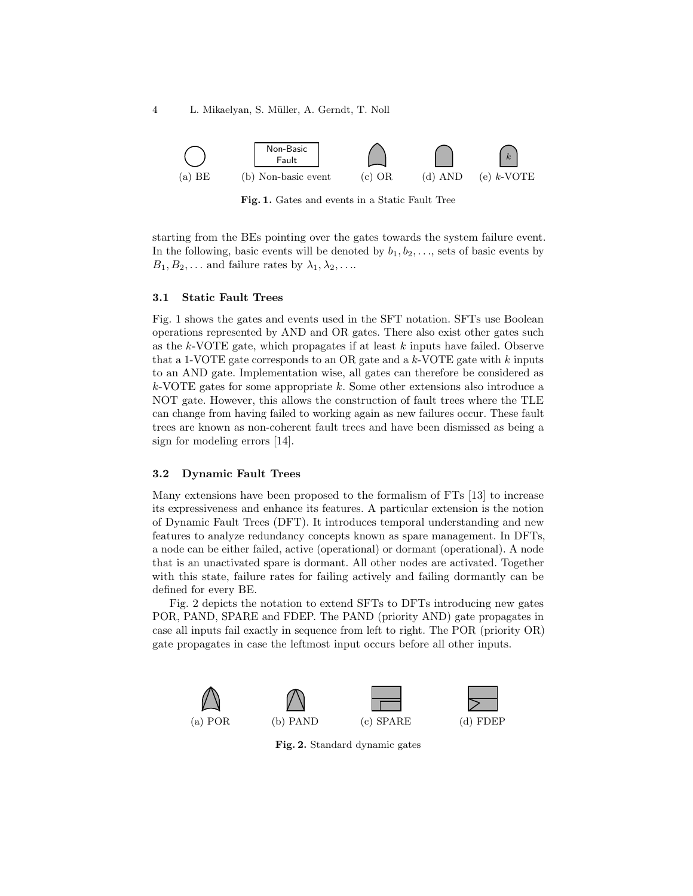

Fig. 1. Gates and events in a Static Fault Tree

starting from the BEs pointing over the gates towards the system failure event. In the following, basic events will be denoted by  $b_1, b_2, \ldots$ , sets of basic events by  $B_1, B_2, \ldots$  and failure rates by  $\lambda_1, \lambda_2, \ldots$ 

#### 3.1 Static Fault Trees

Fig. 1 shows the gates and events used in the SFT notation. SFTs use Boolean operations represented by AND and OR gates. There also exist other gates such as the k-VOTE gate, which propagates if at least  $k$  inputs have failed. Observe that a 1-VOTE gate corresponds to an OR gate and a  $k$ -VOTE gate with  $k$  inputs to an AND gate. Implementation wise, all gates can therefore be considered as  $k$ -VOTE gates for some appropriate  $k$ . Some other extensions also introduce a NOT gate. However, this allows the construction of fault trees where the TLE can change from having failed to working again as new failures occur. These fault trees are known as non-coherent fault trees and have been dismissed as being a sign for modeling errors [14].

#### 3.2 Dynamic Fault Trees

Many extensions have been proposed to the formalism of FTs [13] to increase its expressiveness and enhance its features. A particular extension is the notion of Dynamic Fault Trees (DFT). It introduces temporal understanding and new features to analyze redundancy concepts known as spare management. In DFTs, a node can be either failed, active (operational) or dormant (operational). A node that is an unactivated spare is dormant. All other nodes are activated. Together with this state, failure rates for failing actively and failing dormantly can be defined for every BE.

Fig. 2 depicts the notation to extend SFTs to DFTs introducing new gates POR, PAND, SPARE and FDEP. The PAND (priority AND) gate propagates in case all inputs fail exactly in sequence from left to right. The POR (priority OR) gate propagates in case the leftmost input occurs before all other inputs.



Fig. 2. Standard dynamic gates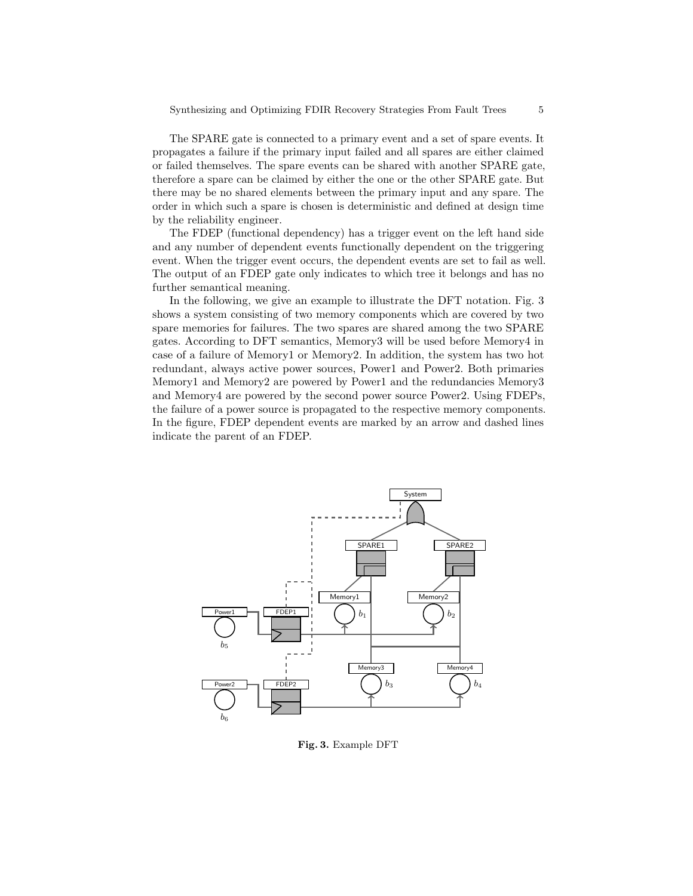The SPARE gate is connected to a primary event and a set of spare events. It propagates a failure if the primary input failed and all spares are either claimed or failed themselves. The spare events can be shared with another SPARE gate, therefore a spare can be claimed by either the one or the other SPARE gate. But there may be no shared elements between the primary input and any spare. The order in which such a spare is chosen is deterministic and defined at design time by the reliability engineer.

The FDEP (functional dependency) has a trigger event on the left hand side and any number of dependent events functionally dependent on the triggering event. When the trigger event occurs, the dependent events are set to fail as well. The output of an FDEP gate only indicates to which tree it belongs and has no further semantical meaning.

In the following, we give an example to illustrate the DFT notation. Fig. 3 shows a system consisting of two memory components which are covered by two spare memories for failures. The two spares are shared among the two SPARE gates. According to DFT semantics, Memory3 will be used before Memory4 in case of a failure of Memory1 or Memory2. In addition, the system has two hot redundant, always active power sources, Power1 and Power2. Both primaries Memory1 and Memory2 are powered by Power1 and the redundancies Memory3 and Memory4 are powered by the second power source Power2. Using FDEPs, the failure of a power source is propagated to the respective memory components. In the figure, FDEP dependent events are marked by an arrow and dashed lines indicate the parent of an FDEP.



Fig. 3. Example DFT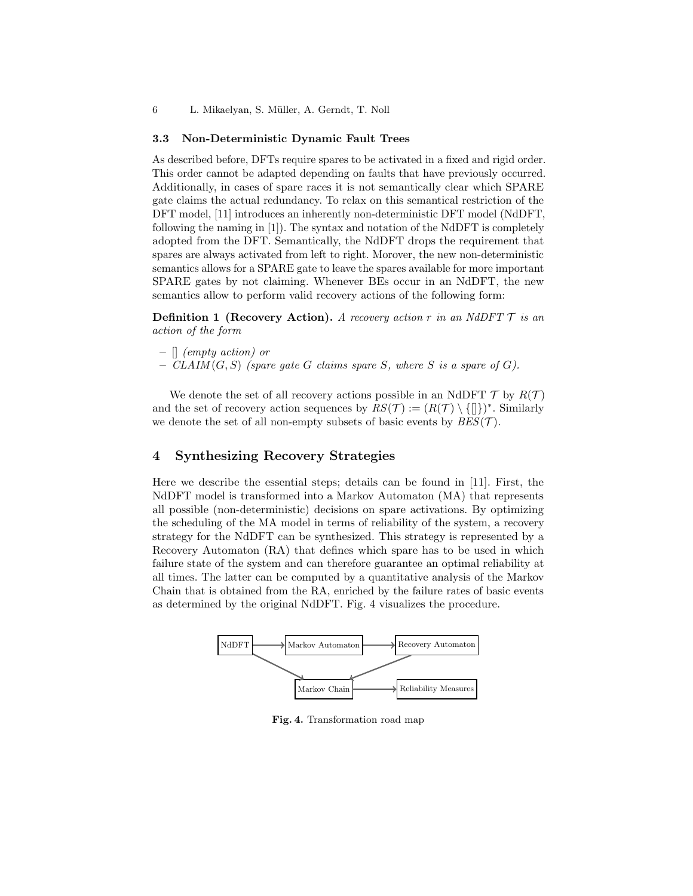#### 3.3 Non-Deterministic Dynamic Fault Trees

As described before, DFTs require spares to be activated in a fixed and rigid order. This order cannot be adapted depending on faults that have previously occurred. Additionally, in cases of spare races it is not semantically clear which SPARE gate claims the actual redundancy. To relax on this semantical restriction of the DFT model, [11] introduces an inherently non-deterministic DFT model (NdDFT, following the naming in [1]). The syntax and notation of the NdDFT is completely adopted from the DFT. Semantically, the NdDFT drops the requirement that spares are always activated from left to right. Morover, the new non-deterministic semantics allows for a SPARE gate to leave the spares available for more important SPARE gates by not claiming. Whenever BEs occur in an NdDFT, the new semantics allow to perform valid recovery actions of the following form:

**Definition 1 (Recovery Action).** A recovery action r in an NdDFT  $\mathcal{T}$  is an action of the form

- [] (empty action) or
- $CLAIM(G, S)$  (spare gate G claims spare S, where S is a spare of G).

We denote the set of all recovery actions possible in an NdDFT  $\mathcal T$  by  $R(\mathcal T)$ and the set of recovery action sequences by  $RS(\mathcal{T}) := (R(\mathcal{T}) \setminus \{[]\})^*$ . Similarly we denote the set of all non-empty subsets of basic events by  $BES(\mathcal{T})$ .

### 4 Synthesizing Recovery Strategies

Here we describe the essential steps; details can be found in [11]. First, the NdDFT model is transformed into a Markov Automaton (MA) that represents all possible (non-deterministic) decisions on spare activations. By optimizing the scheduling of the MA model in terms of reliability of the system, a recovery strategy for the NdDFT can be synthesized. This strategy is represented by a Recovery Automaton (RA) that defines which spare has to be used in which failure state of the system and can therefore guarantee an optimal reliability at all times. The latter can be computed by a quantitative analysis of the Markov Chain that is obtained from the RA, enriched by the failure rates of basic events as determined by the original NdDFT. Fig. 4 visualizes the procedure.



Fig. 4. Transformation road map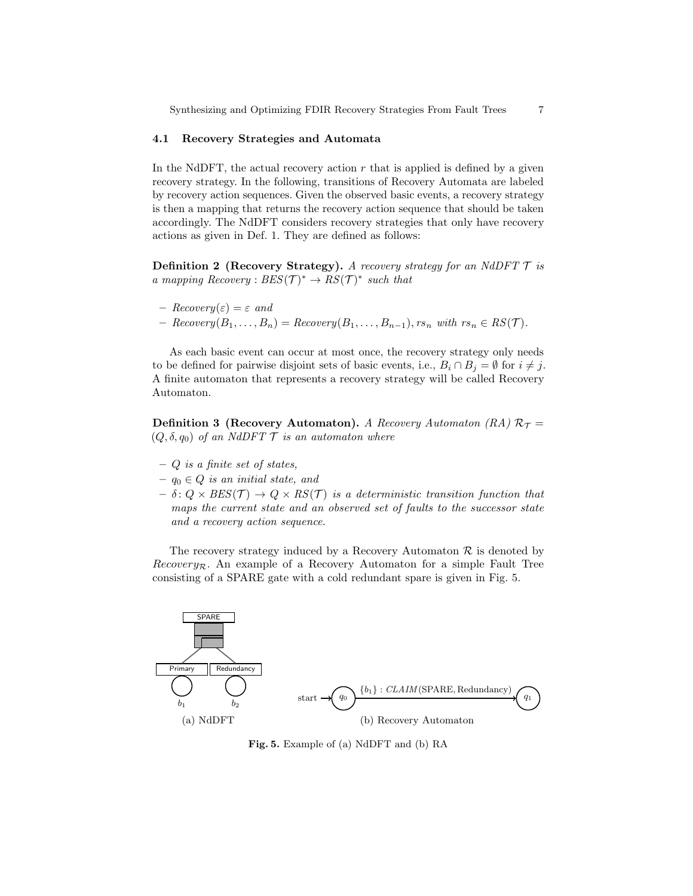#### 4.1 Recovery Strategies and Automata

In the NdDFT, the actual recovery action  $r$  that is applied is defined by a given recovery strategy. In the following, transitions of Recovery Automata are labeled by recovery action sequences. Given the observed basic events, a recovery strategy is then a mapping that returns the recovery action sequence that should be taken accordingly. The NdDFT considers recovery strategies that only have recovery actions as given in Def. 1. They are defined as follows:

**Definition 2 (Recovery Strategy).** A recovery strategy for an NdDFT  $\mathcal{T}$  is a mapping Recovery :  $BES(\mathcal{T})^* \to RS(\mathcal{T})^*$  such that

- $Recovery(\varepsilon) = \varepsilon$  and
- $-$  Recovery $(B_1, \ldots, B_n)$  = Recovery $(B_1, \ldots, B_{n-1}),$  rs<sub>n</sub> with rs<sub>n</sub>  $\in$  RS(T).

As each basic event can occur at most once, the recovery strategy only needs to be defined for pairwise disjoint sets of basic events, i.e.,  $B_i \cap B_j = \emptyset$  for  $i \neq j$ . A finite automaton that represents a recovery strategy will be called Recovery Automaton.

**Definition 3 (Recovery Automaton).** A Recovery Automaton (RA)  $\mathcal{R}_{\mathcal{T}} =$  $(Q, \delta, q_0)$  of an NdDFT  $\mathcal T$  is an automaton where

- $-$  Q is a finite set of states,
- $q_0 \in Q$  is an initial state, and
- $\delta : Q \times BES(\mathcal{T}) \rightarrow Q \times RS(\mathcal{T})$  is a deterministic transition function that maps the current state and an observed set of faults to the successor state and a recovery action sequence.

The recovery strategy induced by a Recovery Automaton  $\mathcal R$  is denoted by Recovery<sub>R</sub>. An example of a Recovery Automaton for a simple Fault Tree consisting of a SPARE gate with a cold redundant spare is given in Fig. 5.



Fig. 5. Example of (a) NdDFT and (b) RA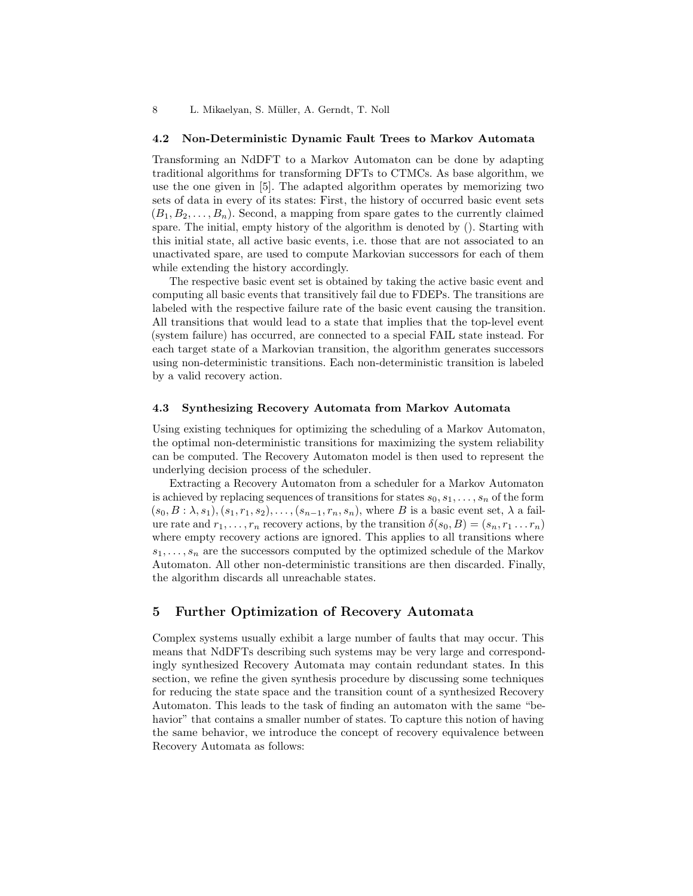#### 4.2 Non-Deterministic Dynamic Fault Trees to Markov Automata

Transforming an NdDFT to a Markov Automaton can be done by adapting traditional algorithms for transforming DFTs to CTMCs. As base algorithm, we use the one given in [5]. The adapted algorithm operates by memorizing two sets of data in every of its states: First, the history of occurred basic event sets  $(B_1, B_2, \ldots, B_n)$ . Second, a mapping from spare gates to the currently claimed spare. The initial, empty history of the algorithm is denoted by (). Starting with this initial state, all active basic events, i.e. those that are not associated to an unactivated spare, are used to compute Markovian successors for each of them while extending the history accordingly.

The respective basic event set is obtained by taking the active basic event and computing all basic events that transitively fail due to FDEPs. The transitions are labeled with the respective failure rate of the basic event causing the transition. All transitions that would lead to a state that implies that the top-level event (system failure) has occurred, are connected to a special FAIL state instead. For each target state of a Markovian transition, the algorithm generates successors using non-deterministic transitions. Each non-deterministic transition is labeled by a valid recovery action.

#### 4.3 Synthesizing Recovery Automata from Markov Automata

Using existing techniques for optimizing the scheduling of a Markov Automaton, the optimal non-deterministic transitions for maximizing the system reliability can be computed. The Recovery Automaton model is then used to represent the underlying decision process of the scheduler.

Extracting a Recovery Automaton from a scheduler for a Markov Automaton is achieved by replacing sequences of transitions for states  $s_0, s_1, \ldots, s_n$  of the form  $(s_0, B : \lambda, s_1), (s_1, r_1, s_2), \ldots, (s_{n-1}, r_n, s_n)$ , where B is a basic event set,  $\lambda$  a failure rate and  $r_1, \ldots, r_n$  recovery actions, by the transition  $\delta(s_0, B) = (s_n, r_1 \ldots r_n)$ where empty recovery actions are ignored. This applies to all transitions where  $s_1, \ldots, s_n$  are the successors computed by the optimized schedule of the Markov Automaton. All other non-deterministic transitions are then discarded. Finally, the algorithm discards all unreachable states.

### 5 Further Optimization of Recovery Automata

Complex systems usually exhibit a large number of faults that may occur. This means that NdDFTs describing such systems may be very large and correspondingly synthesized Recovery Automata may contain redundant states. In this section, we refine the given synthesis procedure by discussing some techniques for reducing the state space and the transition count of a synthesized Recovery Automaton. This leads to the task of finding an automaton with the same "behavior" that contains a smaller number of states. To capture this notion of having the same behavior, we introduce the concept of recovery equivalence between Recovery Automata as follows: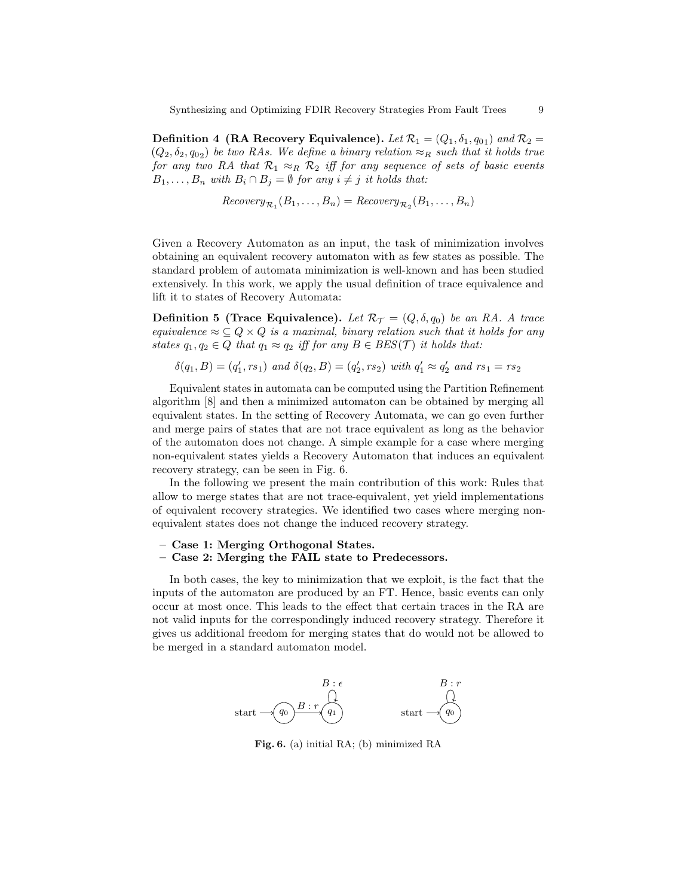Definition 4 (RA Recovery Equivalence). Let  $\mathcal{R}_1 = (Q_1, \delta_1, q_{01})$  and  $\mathcal{R}_2 =$  $(Q_2, \delta_2, q_{02})$  be two RAs. We define a binary relation  $\approx_R$  such that it holds true for any two RA that  $\mathcal{R}_1 \approx_R \mathcal{R}_2$  iff for any sequence of sets of basic events  $B_1, \ldots, B_n$  with  $B_i \cap B_j = \emptyset$  for any  $i \neq j$  it holds that:

$$
Recovery_{\mathcal{R}_1}(B_1,\ldots,B_n)=Recovery_{\mathcal{R}_2}(B_1,\ldots,B_n)
$$

Given a Recovery Automaton as an input, the task of minimization involves obtaining an equivalent recovery automaton with as few states as possible. The standard problem of automata minimization is well-known and has been studied extensively. In this work, we apply the usual definition of trace equivalence and lift it to states of Recovery Automata:

**Definition 5 (Trace Equivalence).** Let  $\mathcal{R}_{\mathcal{T}} = (Q, \delta, q_0)$  be an RA. A trace equivalence  $\approx \subseteq Q \times Q$  is a maximal, binary relation such that it holds for any states  $q_1, q_2 \in Q$  that  $q_1 \approx q_2$  iff for any  $B \in BES(\mathcal{T})$  it holds that:

$$
\delta(q_1, B) = (q'_1, rs_1) \text{ and } \delta(q_2, B) = (q'_2, rs_2) \text{ with } q'_1 \approx q'_2 \text{ and } rs_1 = rs_2
$$

Equivalent states in automata can be computed using the Partition Refinement algorithm [8] and then a minimized automaton can be obtained by merging all equivalent states. In the setting of Recovery Automata, we can go even further and merge pairs of states that are not trace equivalent as long as the behavior of the automaton does not change. A simple example for a case where merging non-equivalent states yields a Recovery Automaton that induces an equivalent recovery strategy, can be seen in Fig. 6.

In the following we present the main contribution of this work: Rules that allow to merge states that are not trace-equivalent, yet yield implementations of equivalent recovery strategies. We identified two cases where merging nonequivalent states does not change the induced recovery strategy.

– Case 1: Merging Orthogonal States.

#### – Case 2: Merging the FAIL state to Predecessors.

In both cases, the key to minimization that we exploit, is the fact that the inputs of the automaton are produced by an FT. Hence, basic events can only occur at most once. This leads to the effect that certain traces in the RA are not valid inputs for the correspondingly induced recovery strategy. Therefore it gives us additional freedom for merging states that do would not be allowed to be merged in a standard automaton model.



Fig. 6. (a) initial RA; (b) minimized RA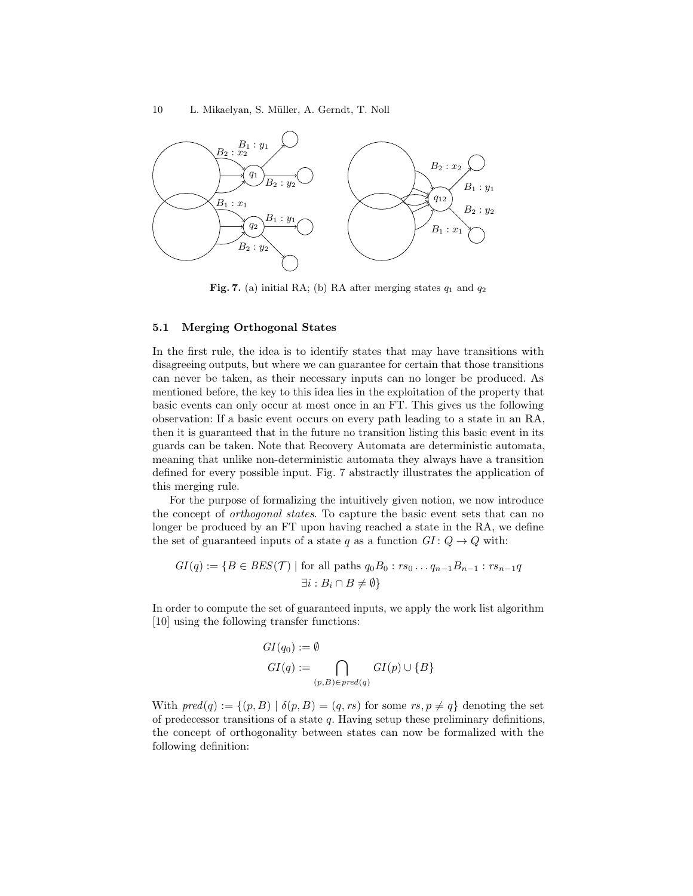

Fig. 7. (a) initial RA; (b) RA after merging states  $q_1$  and  $q_2$ 

#### 5.1 Merging Orthogonal States

In the first rule, the idea is to identify states that may have transitions with disagreeing outputs, but where we can guarantee for certain that those transitions can never be taken, as their necessary inputs can no longer be produced. As mentioned before, the key to this idea lies in the exploitation of the property that basic events can only occur at most once in an FT. This gives us the following observation: If a basic event occurs on every path leading to a state in an RA, then it is guaranteed that in the future no transition listing this basic event in its guards can be taken. Note that Recovery Automata are deterministic automata, meaning that unlike non-deterministic automata they always have a transition defined for every possible input. Fig. 7 abstractly illustrates the application of this merging rule.

For the purpose of formalizing the intuitively given notion, we now introduce the concept of orthogonal states. To capture the basic event sets that can no longer be produced by an FT upon having reached a state in the RA, we define the set of guaranteed inputs of a state q as a function  $GI: Q \to Q$  with:

$$
GI(q) := \{ B \in BES(\mathcal{T}) \mid \text{for all paths } q_0 B_0 : rs_0 \dots q_{n-1} B_{n-1} : rs_{n-1} q \}
$$

$$
\exists i : B_i \cap B \neq \emptyset \}
$$

In order to compute the set of guaranteed inputs, we apply the work list algorithm [10] using the following transfer functions:

$$
GI(q_0) := \emptyset
$$
  
\n
$$
GI(q) := \bigcap_{(p,B) \in pred(q)} GI(p) \cup \{B\}
$$

With  $pred(q) := \{(p, B) | \delta(p, B) = (q, rs) \text{ for some } rs, p \neq q\}$  denoting the set of predecessor transitions of a state  $q$ . Having setup these preliminary definitions, the concept of orthogonality between states can now be formalized with the following definition: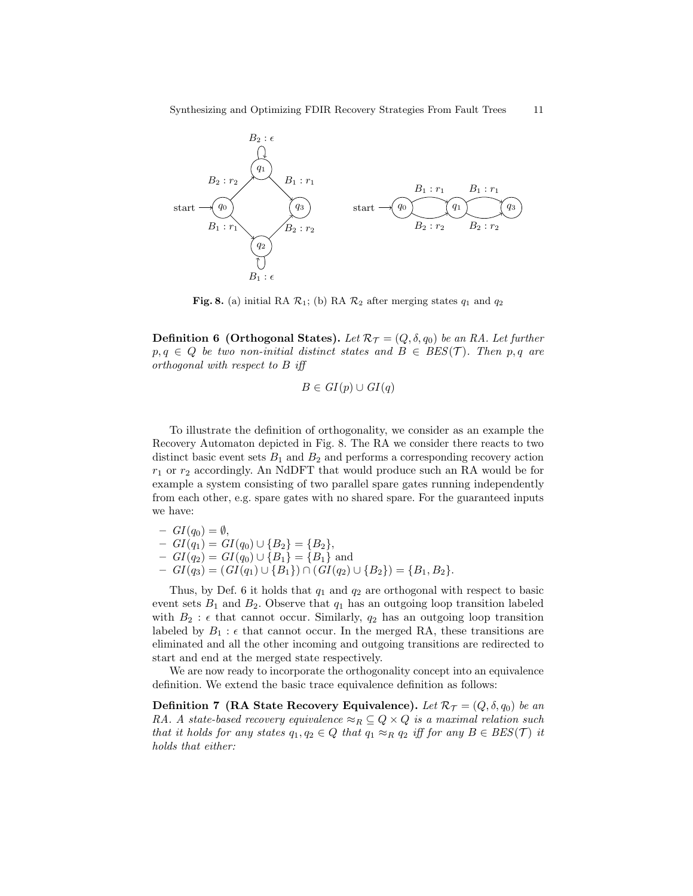

Fig. 8. (a) initial RA  $\mathcal{R}_1$ ; (b) RA  $\mathcal{R}_2$  after merging states  $q_1$  and  $q_2$ 

**Definition 6 (Orthogonal States).** Let  $\mathcal{R}_{\mathcal{T}} = (Q, \delta, q_0)$  be an RA. Let further  $p, q \in Q$  be two non-initial distinct states and  $B \in BES(\mathcal{T})$ . Then p, q are orthogonal with respect to B iff

 $B \in GI(p) \cup GI(q)$ 

To illustrate the definition of orthogonality, we consider as an example the Recovery Automaton depicted in Fig. 8. The RA we consider there reacts to two distinct basic event sets  $B_1$  and  $B_2$  and performs a corresponding recovery action  $r_1$  or  $r_2$  accordingly. An NdDFT that would produce such an RA would be for example a system consisting of two parallel spare gates running independently from each other, e.g. spare gates with no shared spare. For the guaranteed inputs we have:

 $- GI(q_0) = \emptyset,$  $– GI(q_1) = GI(q_0) \cup {B_2} = {B_2},$  $-GI(q_2) = GI(q_0) \cup {B_1} = {B_1}$  and

 $– GI(q_3) = (GI(q_1) ∪ {B_1}) ∩ (GI(q_2) ∪ {B_2}) = {B_1, B_2}.$ 

Thus, by Def. 6 it holds that  $q_1$  and  $q_2$  are orthogonal with respect to basic event sets  $B_1$  and  $B_2$ . Observe that  $q_1$  has an outgoing loop transition labeled with  $B_2$ :  $\epsilon$  that cannot occur. Similarly,  $q_2$  has an outgoing loop transition labeled by  $B_1$ :  $\epsilon$  that cannot occur. In the merged RA, these transitions are eliminated and all the other incoming and outgoing transitions are redirected to start and end at the merged state respectively.

We are now ready to incorporate the orthogonality concept into an equivalence definition. We extend the basic trace equivalence definition as follows:

**Definition 7 (RA State Recovery Equivalence).** Let  $\mathcal{R}_{\mathcal{T}} = (Q, \delta, q_0)$  be an RA. A state-based recovery equivalence  $\approx_R \subseteq Q \times Q$  is a maximal relation such that it holds for any states  $q_1, q_2 \in Q$  that  $q_1 \approx_R q_2$  iff for any  $B \in BES(\mathcal{T})$  it holds that either: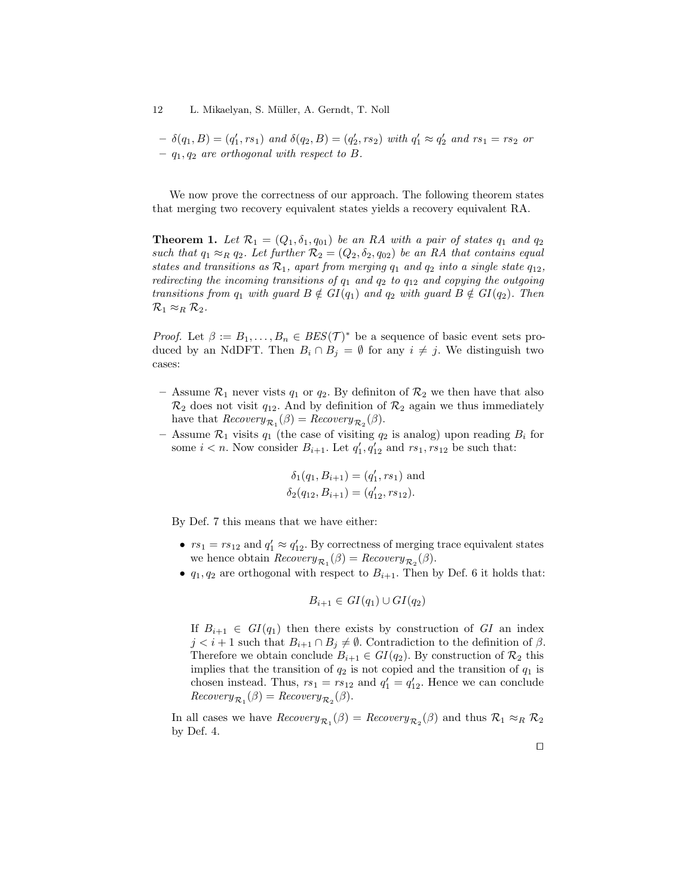$- \delta(q_1, B) = (q'_1, rs_1) \text{ and } \delta(q_2, B) = (q'_2, rs_2) \text{ with } q'_1 \approx q'_2 \text{ and } rs_1 = rs_2 \text{ or }$  $- q_1, q_2$  are orthogonal with respect to B.

We now prove the correctness of our approach. The following theorem states that merging two recovery equivalent states yields a recovery equivalent RA.

**Theorem 1.** Let  $\mathcal{R}_1 = (Q_1, \delta_1, q_{01})$  be an RA with a pair of states  $q_1$  and  $q_2$ such that  $q_1 \approx_R q_2$ . Let further  $\mathcal{R}_2 = (Q_2, \delta_2, q_{02})$  be an RA that contains equal states and transitions as  $\mathcal{R}_1$ , apart from merging  $q_1$  and  $q_2$  into a single state  $q_{12}$ , redirecting the incoming transitions of  $q_1$  and  $q_2$  to  $q_{12}$  and copying the outgoing transitions from  $q_1$  with guard  $B \notin GI(q_1)$  and  $q_2$  with guard  $B \notin GI(q_2)$ . Then  $\mathcal{R}_1 \approx_R \mathcal{R}_2$ .

*Proof.* Let  $\beta := B_1, \ldots, B_n \in BES(\mathcal{T})^*$  be a sequence of basic event sets produced by an NdDFT. Then  $B_i \cap B_j = \emptyset$  for any  $i \neq j$ . We distinguish two cases:

- Assume  $\mathcal{R}_1$  never vists  $q_1$  or  $q_2$ . By definition of  $\mathcal{R}_2$  we then have that also  $\mathcal{R}_2$  does not visit  $q_{12}$ . And by definition of  $\mathcal{R}_2$  again we thus immediately have that  $Recovery_{\mathcal{R}_1}(\beta) = Recovery_{\mathcal{R}_2}(\beta)$ .
- Assume  $\mathcal{R}_1$  visits  $q_1$  (the case of visiting  $q_2$  is analog) upon reading  $B_i$  for some  $i < n$ . Now consider  $B_{i+1}$ . Let  $q'_1, q'_{12}$  and  $rs_1, rs_{12}$  be such that:

$$
\delta_1(q_1, B_{i+1}) = (q'_1, rs_1)
$$
 and  
\n $\delta_2(q_{12}, B_{i+1}) = (q'_{12}, rs_{12}).$ 

By Def. 7 this means that we have either:

- $rs_1 = rs_{12}$  and  $q'_1 \approx q'_{12}$ . By correctness of merging trace equivalent states we hence obtain  $Recovery_{\mathcal{R}_1}(\beta) = Recovery_{\mathcal{R}_2}(\beta)$ .
- $q_1, q_2$  are orthogonal with respect to  $B_{i+1}$ . Then by Def. 6 it holds that:

$$
B_{i+1} \in GI(q_1) \cup GI(q_2)
$$

If  $B_{i+1} \in GI(q_1)$  then there exists by construction of GI an index  $j < i+1$  such that  $B_{i+1} \cap B_j \neq \emptyset$ . Contradiction to the definition of  $\beta$ . Therefore we obtain conclude  $B_{i+1} \in GI(q_2)$ . By construction of  $\mathcal{R}_2$  this implies that the transition of  $q_2$  is not copied and the transition of  $q_1$  is chosen instead. Thus,  $rs_1 = rs_{12}$  and  $q'_1 = q'_{12}$ . Hence we can conclude  $Recovery_{\mathcal{R}_1}(\beta) = Recovery_{\mathcal{R}_2}(\beta).$ 

In all cases we have  $Recovery_{\mathcal{R}_1}(\beta) = Recovery_{\mathcal{R}_2}(\beta)$  and thus  $\mathcal{R}_1 \approx_R \mathcal{R}_2$ by Def. 4.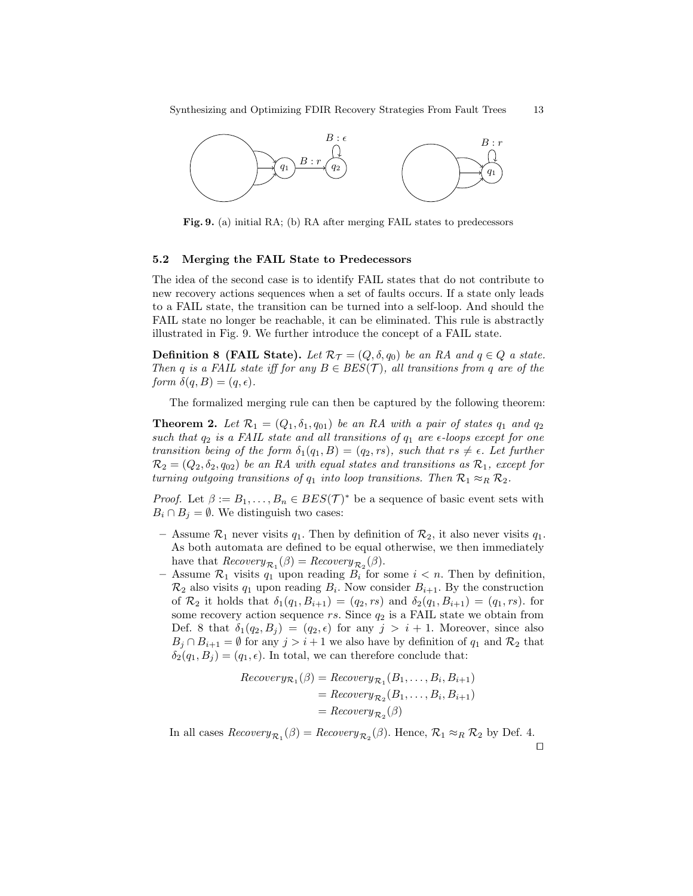

Fig. 9. (a) initial RA; (b) RA after merging FAIL states to predecessors

#### 5.2 Merging the FAIL State to Predecessors

The idea of the second case is to identify FAIL states that do not contribute to new recovery actions sequences when a set of faults occurs. If a state only leads to a FAIL state, the transition can be turned into a self-loop. And should the FAIL state no longer be reachable, it can be eliminated. This rule is abstractly illustrated in Fig. 9. We further introduce the concept of a FAIL state.

**Definition 8 (FAIL State).** Let  $\mathcal{R}_{\mathcal{T}} = (Q, \delta, q_0)$  be an RA and  $q \in Q$  a state. Then q is a FAIL state iff for any  $B \in BES(\mathcal{T})$ , all transitions from q are of the form  $\delta(q, B) = (q, \epsilon)$ .

The formalized merging rule can then be captured by the following theorem:

**Theorem 2.** Let  $\mathcal{R}_1 = (Q_1, \delta_1, q_{01})$  be an RA with a pair of states  $q_1$  and  $q_2$ such that  $q_2$  is a FAIL state and all transitions of  $q_1$  are  $\epsilon$ -loops except for one transition being of the form  $\delta_1(q_1, B) = (q_2, rs)$ , such that  $rs \neq \epsilon$ . Let further  $\mathcal{R}_2 = (Q_2, \delta_2, q_{02})$  be an RA with equal states and transitions as  $\mathcal{R}_1$ , except for turning outgoing transitions of  $q_1$  into loop transitions. Then  $\mathcal{R}_1 \approx_R \mathcal{R}_2$ .

*Proof.* Let  $\beta := B_1, \ldots, B_n \in BES(\mathcal{T})^*$  be a sequence of basic event sets with  $B_i \cap B_j = \emptyset$ . We distinguish two cases:

- Assume  $\mathcal{R}_1$  never visits  $q_1$ . Then by definition of  $\mathcal{R}_2$ , it also never visits  $q_1$ . As both automata are defined to be equal otherwise, we then immediately have that  $Recovery_{\mathcal{R}_1}(\beta) = Recovery_{\mathcal{R}_2}(\beta)$ .
- Assume  $\mathcal{R}_1$  visits  $q_1$  upon reading  $B_i$  for some  $i < n$ . Then by definition,  $\mathcal{R}_2$  also visits  $q_1$  upon reading  $B_i$ . Now consider  $B_{i+1}$ . By the construction of  $\mathcal{R}_2$  it holds that  $\delta_1(q_1, B_{i+1}) = (q_2, rs)$  and  $\delta_2(q_1, B_{i+1}) = (q_1, rs)$ . for some recovery action sequence  $rs$ . Since  $q_2$  is a FAIL state we obtain from Def. 8 that  $\delta_1(q_2, B_j) = (q_2, \epsilon)$  for any  $j > i + 1$ . Moreover, since also  $B_j \cap B_{i+1} = \emptyset$  for any  $j > i+1$  we also have by definition of  $q_1$  and  $\mathcal{R}_2$  that  $\delta_2(q_1, B_j) = (q_1, \epsilon)$ . In total, we can therefore conclude that:

$$
Recovery_{\mathcal{R}_1}(\beta) = Recovery_{\mathcal{R}_1}(B_1, \dots, B_i, B_{i+1})
$$
  
= 
$$
Recovery_{\mathcal{R}_2}(B_1, \dots, B_i, B_{i+1})
$$
  
= 
$$
Recovery_{\mathcal{R}_2}(\beta)
$$

In all cases  $\mathit{Recovery}_{\mathcal{R}_1}(\beta) = \mathit{Recovery}_{\mathcal{R}_2}(\beta)$ . Hence,  $\mathcal{R}_1 \approx_R \mathcal{R}_2$  by Def. 4.

 $\Box$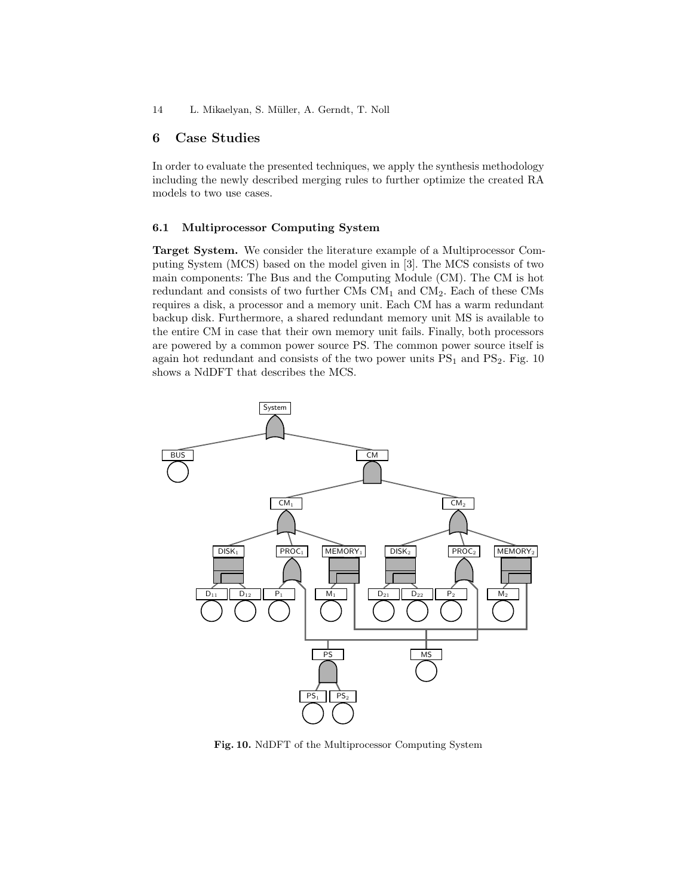## 6 Case Studies

In order to evaluate the presented techniques, we apply the synthesis methodology including the newly described merging rules to further optimize the created RA models to two use cases.

#### 6.1 Multiprocessor Computing System

Target System. We consider the literature example of a Multiprocessor Computing System (MCS) based on the model given in [3]. The MCS consists of two main components: The Bus and the Computing Module (CM). The CM is hot redundant and consists of two further CMs  $CM<sub>1</sub>$  and  $CM<sub>2</sub>$ . Each of these CMs requires a disk, a processor and a memory unit. Each CM has a warm redundant backup disk. Furthermore, a shared redundant memory unit MS is available to the entire CM in case that their own memory unit fails. Finally, both processors are powered by a common power source PS. The common power source itself is again hot redundant and consists of the two power units  $PS<sub>1</sub>$  and  $PS<sub>2</sub>$ . Fig. 10 shows a NdDFT that describes the MCS.



Fig. 10. NdDFT of the Multiprocessor Computing System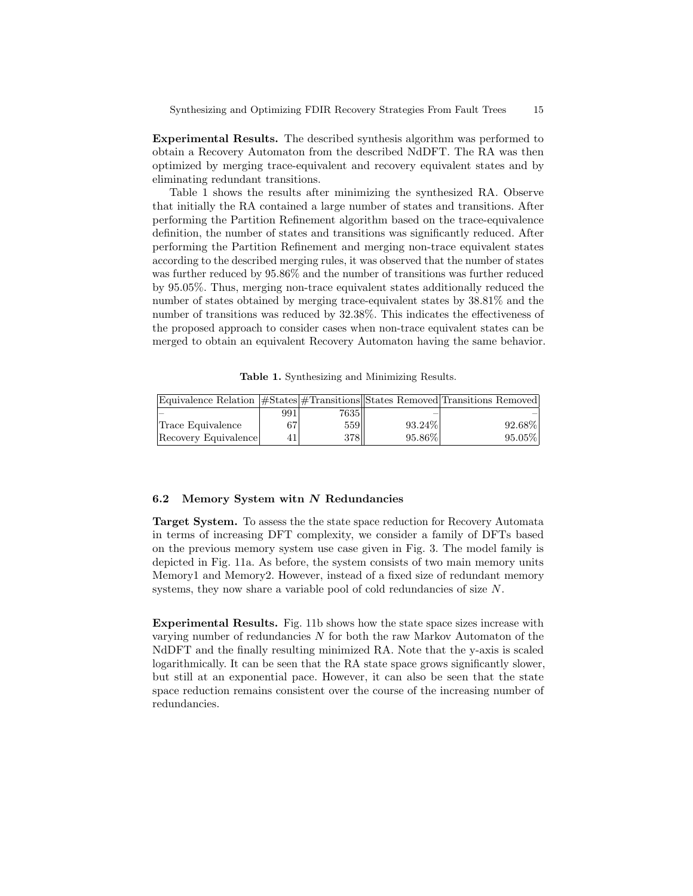Experimental Results. The described synthesis algorithm was performed to obtain a Recovery Automaton from the described NdDFT. The RA was then optimized by merging trace-equivalent and recovery equivalent states and by eliminating redundant transitions.

Table 1 shows the results after minimizing the synthesized RA. Observe that initially the RA contained a large number of states and transitions. After performing the Partition Refinement algorithm based on the trace-equivalence definition, the number of states and transitions was significantly reduced. After performing the Partition Refinement and merging non-trace equivalent states according to the described merging rules, it was observed that the number of states was further reduced by 95.86% and the number of transitions was further reduced by 95.05%. Thus, merging non-trace equivalent states additionally reduced the number of states obtained by merging trace-equivalent states by 38.81% and the number of transitions was reduced by 32.38%. This indicates the effectiveness of the proposed approach to consider cases when non-trace equivalent states can be merged to obtain an equivalent Recovery Automaton having the same behavior.

Table 1. Synthesizing and Minimizing Results.

| Equivalence Relation   # States   # Transitions   States Removed Transitions Removed |      |       |         |           |
|--------------------------------------------------------------------------------------|------|-------|---------|-----------|
|                                                                                      | 991. | 76351 |         |           |
| Trace Equivalence                                                                    | 67   | 559   | 93.24\% | 92.68%    |
| Recovery Equivalence                                                                 | 41   | 378II | 95.86%  | $95.05\%$ |

#### 6.2 Memory System witn  $N$  Redundancies

Target System. To assess the the state space reduction for Recovery Automata in terms of increasing DFT complexity, we consider a family of DFTs based on the previous memory system use case given in Fig. 3. The model family is depicted in Fig. 11a. As before, the system consists of two main memory units Memory1 and Memory2. However, instead of a fixed size of redundant memory systems, they now share a variable pool of cold redundancies of size N.

Experimental Results. Fig. 11b shows how the state space sizes increase with varying number of redundancies  $N$  for both the raw Markov Automaton of the NdDFT and the finally resulting minimized RA. Note that the y-axis is scaled logarithmically. It can be seen that the RA state space grows significantly slower, but still at an exponential pace. However, it can also be seen that the state space reduction remains consistent over the course of the increasing number of redundancies.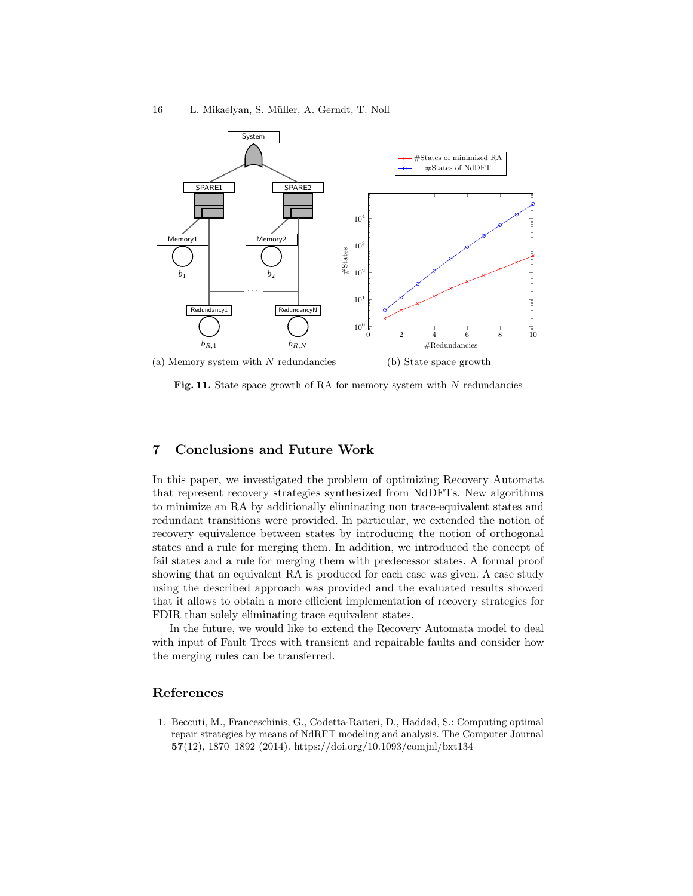16 L. Mikaelyan, S. Müller, A. Gerndt, T. Noll



Fig. 11. State space growth of RA for memory system with  $N$  redundancies

# 7 Conclusions and Future Work

In this paper, we investigated the problem of optimizing Recovery Automata that represent recovery strategies synthesized from NdDFTs. New algorithms to minimize an RA by additionally eliminating non trace-equivalent states and redundant transitions were provided. In particular, we extended the notion of recovery equivalence between states by introducing the notion of orthogonal states and a rule for merging them. In addition, we introduced the concept of fail states and a rule for merging them with predecessor states. A formal proof showing that an equivalent RA is produced for each case was given. A case study using the described approach was provided and the evaluated results showed that it allows to obtain a more efficient implementation of recovery strategies for FDIR than solely eliminating trace equivalent states.

In the future, we would like to extend the Recovery Automata model to deal with input of Fault Trees with transient and repairable faults and consider how the merging rules can be transferred.

# References

1. Beccuti, M., Franceschinis, G., Codetta-Raiteri, D., Haddad, S.: Computing optimal repair strategies by means of NdRFT modeling and analysis. The Computer Journal 57(12), 1870–1892 (2014). https://doi.org/10.1093/comjnl/bxt134